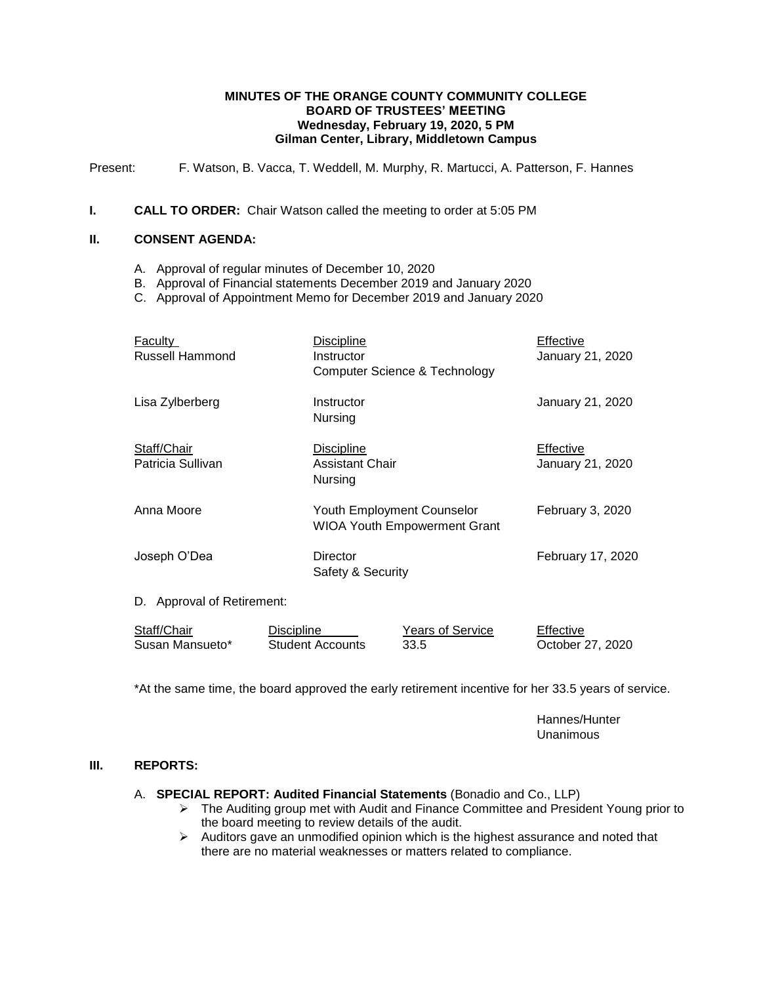#### **MINUTES OF THE ORANGE COUNTY COMMUNITY COLLEGE BOARD OF TRUSTEES' MEETING Wednesday, February 19, 2020, 5 PM Gilman Center, Library, Middletown Campus**

Present: F. Watson, B. Vacca, T. Weddell, M. Murphy, R. Martucci, A. Patterson, F. Hannes

#### **I. CALL TO ORDER:** Chair Watson called the meeting to order at 5:05 PM

#### **II. CONSENT AGENDA:**

- A. Approval of regular minutes of December 10, 2020
- B. Approval of Financial statements December 2019 and January 2020
- C. Approval of Appointment Memo for December 2019 and January 2020

| <b>Faculty</b><br><b>Russell Hammond</b>                                     | <b>Discipline</b><br>Instructor<br>Computer Science & Technology |                                                                          | Effective<br>January 21, 2020 |
|------------------------------------------------------------------------------|------------------------------------------------------------------|--------------------------------------------------------------------------|-------------------------------|
| Lisa Zylberberg<br>Instructor<br>Nursing                                     |                                                                  |                                                                          | January 21, 2020              |
| Staff/Chair<br>Discipline<br>Patricia Sullivan<br>Assistant Chair<br>Nursing |                                                                  | Effective<br>January 21, 2020                                            |                               |
| Anna Moore                                                                   |                                                                  | <b>Youth Employment Counselor</b><br><b>WIOA Youth Empowerment Grant</b> |                               |
| Joseph O'Dea                                                                 | Director<br>Safety & Security                                    |                                                                          | February 17, 2020             |
| D. Approval of Retirement:                                                   |                                                                  |                                                                          |                               |
| Staff/Chair<br>Susan Mansueto*                                               | <b>Discipline</b><br><b>Student Accounts</b>                     | <b>Years of Service</b><br>33.5                                          | Effective<br>October 27, 2020 |

\*At the same time, the board approved the early retirement incentive for her 33.5 years of service.

Hannes/Hunter Unanimous

#### **III. REPORTS:**

A. **SPECIAL REPORT: Audited Financial Statements** (Bonadio and Co., LLP)

- The Auditing group met with Audit and Finance Committee and President Young prior to the board meeting to review details of the audit.
- $\triangleright$  Auditors gave an unmodified opinion which is the highest assurance and noted that there are no material weaknesses or matters related to compliance.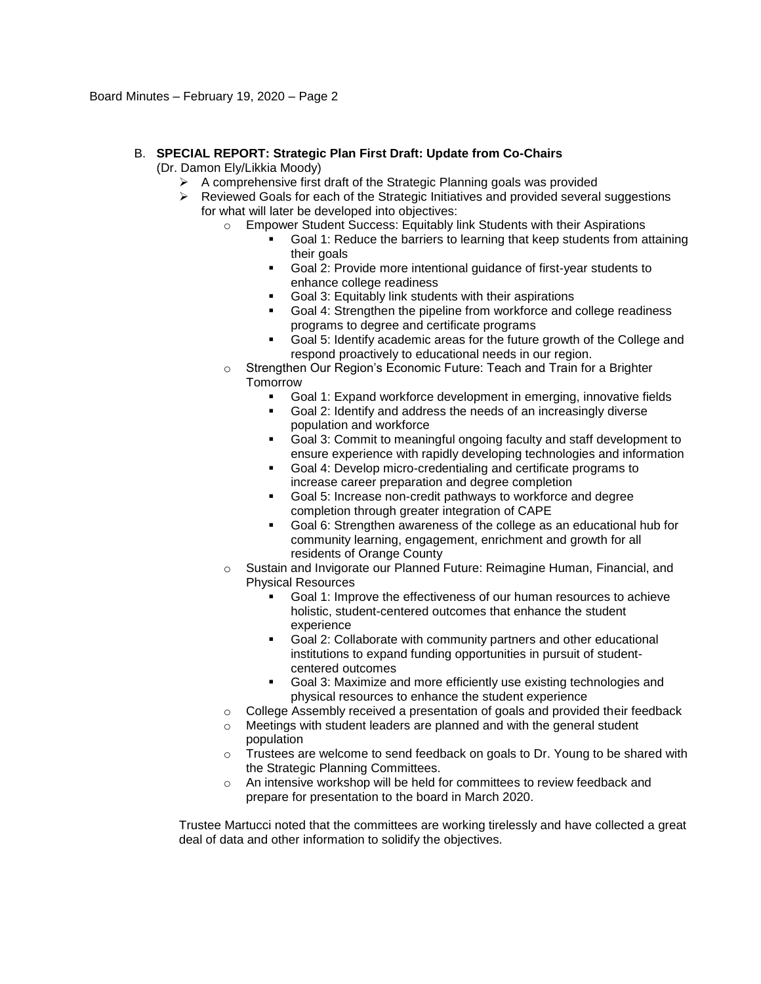### B. **SPECIAL REPORT: Strategic Plan First Draft: Update from Co-Chairs**

(Dr. Damon Ely/Likkia Moody)

- $\triangleright$  A comprehensive first draft of the Strategic Planning goals was provided
- $\triangleright$  Reviewed Goals for each of the Strategic Initiatives and provided several suggestions for what will later be developed into objectives:
	- o Empower Student Success: Equitably link Students with their Aspirations
		- Goal 1: Reduce the barriers to learning that keep students from attaining their goals
		- Goal 2: Provide more intentional guidance of first-year students to enhance college readiness
		- Goal 3: Equitably link students with their aspirations
		- Goal 4: Strengthen the pipeline from workforce and college readiness programs to degree and certificate programs
		- Goal 5: Identify academic areas for the future growth of the College and respond proactively to educational needs in our region.
	- o Strengthen Our Region's Economic Future: Teach and Train for a Brighter **Tomorrow** 
		- Goal 1: Expand workforce development in emerging, innovative fields
		- Goal 2: Identify and address the needs of an increasingly diverse population and workforce
		- Goal 3: Commit to meaningful ongoing faculty and staff development to ensure experience with rapidly developing technologies and information
		- Goal 4: Develop micro-credentialing and certificate programs to increase career preparation and degree completion
		- Goal 5: Increase non-credit pathways to workforce and degree completion through greater integration of CAPE
		- Goal 6: Strengthen awareness of the college as an educational hub for community learning, engagement, enrichment and growth for all residents of Orange County
	- o Sustain and Invigorate our Planned Future: Reimagine Human, Financial, and Physical Resources
		- Goal 1: Improve the effectiveness of our human resources to achieve holistic, student-centered outcomes that enhance the student experience
		- Goal 2: Collaborate with community partners and other educational institutions to expand funding opportunities in pursuit of studentcentered outcomes
		- Goal 3: Maximize and more efficiently use existing technologies and physical resources to enhance the student experience
	- $\circ$  College Assembly received a presentation of goals and provided their feedback
	- o Meetings with student leaders are planned and with the general student population
	- $\circ$  Trustees are welcome to send feedback on goals to Dr. Young to be shared with the Strategic Planning Committees.
	- o An intensive workshop will be held for committees to review feedback and prepare for presentation to the board in March 2020.

Trustee Martucci noted that the committees are working tirelessly and have collected a great deal of data and other information to solidify the objectives.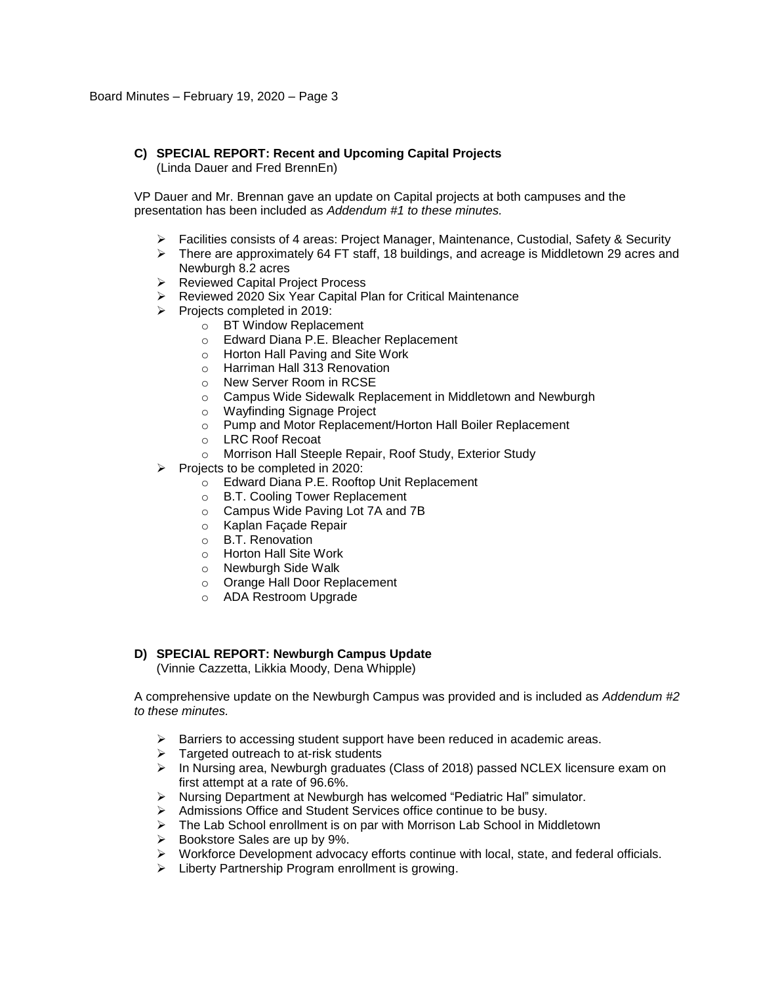# **C) SPECIAL REPORT: Recent and Upcoming Capital Projects**

(Linda Dauer and Fred BrennEn)

VP Dauer and Mr. Brennan gave an update on Capital projects at both campuses and the presentation has been included as *Addendum #1 to these minutes.*

- $\triangleright$  Facilities consists of 4 areas: Project Manager, Maintenance, Custodial, Safety & Security
- $\triangleright$  There are approximately 64 FT staff, 18 buildings, and acreage is Middletown 29 acres and Newburgh 8.2 acres
- Reviewed Capital Project Process
- ▶ Reviewed 2020 Six Year Capital Plan for Critical Maintenance
- $\triangleright$  Projects completed in 2019:
	- o BT Window Replacement
	- o Edward Diana P.E. Bleacher Replacement
	- o Horton Hall Paving and Site Work
	- o Harriman Hall 313 Renovation
	- o New Server Room in RCSE
	- o Campus Wide Sidewalk Replacement in Middletown and Newburgh
	- o Wayfinding Signage Project
	- o Pump and Motor Replacement/Horton Hall Boiler Replacement
	- o LRC Roof Recoat
	- o Morrison Hall Steeple Repair, Roof Study, Exterior Study
- $\triangleright$  Projects to be completed in 2020:
	- o Edward Diana P.E. Rooftop Unit Replacement
	- o B.T. Cooling Tower Replacement
	- o Campus Wide Paving Lot 7A and 7B
	- o Kaplan Façade Repair
	- o B.T. Renovation
	- o Horton Hall Site Work
	- o Newburgh Side Walk
	- o Orange Hall Door Replacement
	- o ADA Restroom Upgrade

### **D) SPECIAL REPORT: Newburgh Campus Update**

(Vinnie Cazzetta, Likkia Moody, Dena Whipple)

A comprehensive update on the Newburgh Campus was provided and is included as *Addendum #2 to these minutes.*

- $\triangleright$  Barriers to accessing student support have been reduced in academic areas.
- $\triangleright$  Targeted outreach to at-risk students
- $\triangleright$  In Nursing area, Newburgh graduates (Class of 2018) passed NCLEX licensure exam on first attempt at a rate of 96.6%.
- $\triangleright$  Nursing Department at Newburgh has welcomed "Pediatric Hal" simulator.
- Admissions Office and Student Services office continue to be busy.
- The Lab School enrollment is on par with Morrison Lab School in Middletown
- $\triangleright$  Bookstore Sales are up by 9%.
- Workforce Development advocacy efforts continue with local, state, and federal officials.
- > Liberty Partnership Program enrollment is growing.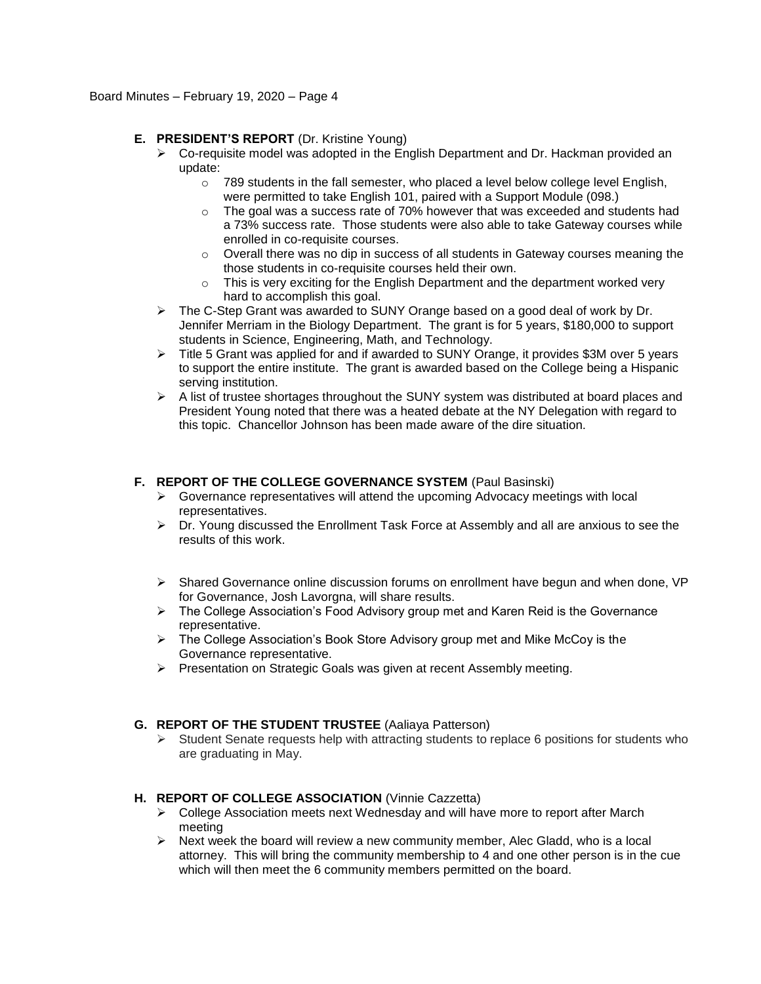## **E. PRESIDENT'S REPORT** (Dr. Kristine Young)

- $\triangleright$  Co-requisite model was adopted in the English Department and Dr. Hackman provided an update:
	- $\circ$  789 students in the fall semester, who placed a level below college level English, were permitted to take English 101, paired with a Support Module (098.)
	- o The goal was a success rate of 70% however that was exceeded and students had a 73% success rate. Those students were also able to take Gateway courses while enrolled in co-requisite courses.
	- $\circ$  Overall there was no dip in success of all students in Gateway courses meaning the those students in co-requisite courses held their own.
	- $\circ$  This is very exciting for the English Department and the department worked very hard to accomplish this goal.
- $\triangleright$  The C-Step Grant was awarded to SUNY Orange based on a good deal of work by Dr. Jennifer Merriam in the Biology Department. The grant is for 5 years, \$180,000 to support students in Science, Engineering, Math, and Technology.
- Title 5 Grant was applied for and if awarded to SUNY Orange, it provides \$3M over 5 years to support the entire institute. The grant is awarded based on the College being a Hispanic serving institution.
- $\triangleright$  A list of trustee shortages throughout the SUNY system was distributed at board places and President Young noted that there was a heated debate at the NY Delegation with regard to this topic. Chancellor Johnson has been made aware of the dire situation.

## **F. REPORT OF THE COLLEGE GOVERNANCE SYSTEM** (Paul Basinski)

- $\triangleright$  Governance representatives will attend the upcoming Advocacy meetings with local representatives.
- $\triangleright$  Dr. Young discussed the Enrollment Task Force at Assembly and all are anxious to see the results of this work.
- $\triangleright$  Shared Governance online discussion forums on enrollment have begun and when done, VP for Governance, Josh Lavorgna, will share results.
- $\triangleright$  The College Association's Food Advisory group met and Karen Reid is the Governance representative.
- $\triangleright$  The College Association's Book Store Advisory group met and Mike McCoy is the Governance representative.
- $\triangleright$  Presentation on Strategic Goals was given at recent Assembly meeting.

### **G. REPORT OF THE STUDENT TRUSTEE** (Aaliaya Patterson)

 $\triangleright$  Student Senate requests help with attracting students to replace 6 positions for students who are graduating in May.

### **H. REPORT OF COLLEGE ASSOCIATION** (Vinnie Cazzetta)

- $\triangleright$  College Association meets next Wednesday and will have more to report after March meeting
- $\triangleright$  Next week the board will review a new community member, Alec Gladd, who is a local attorney. This will bring the community membership to 4 and one other person is in the cue which will then meet the 6 community members permitted on the board.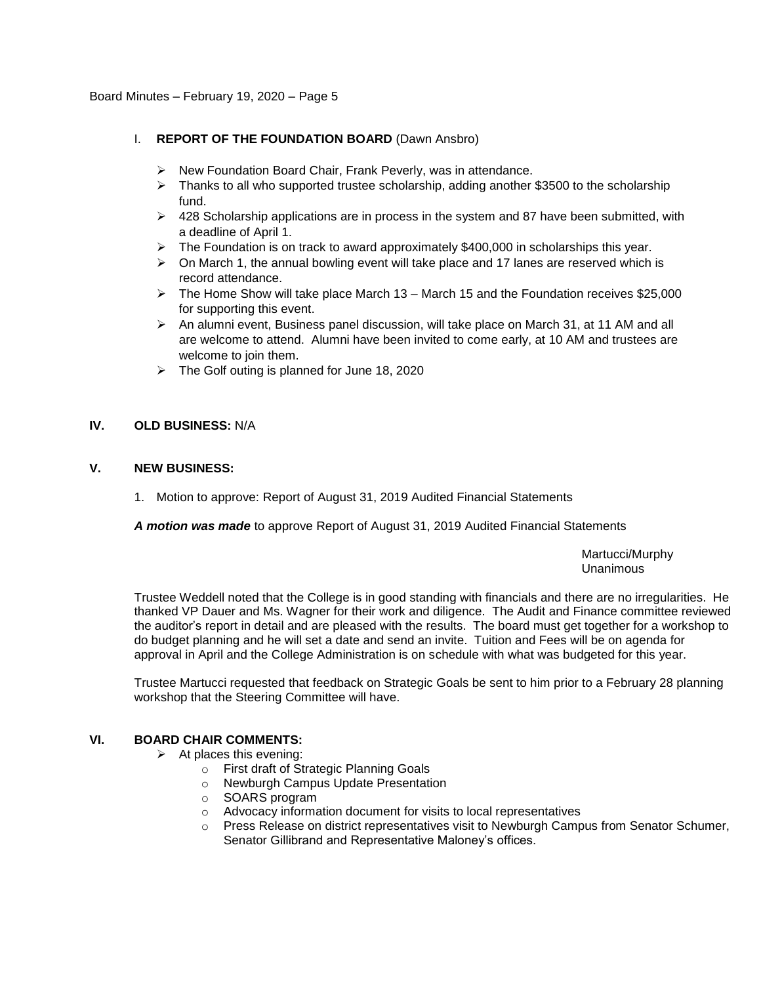### I. **REPORT OF THE FOUNDATION BOARD** (Dawn Ansbro)

- $\triangleright$  New Foundation Board Chair, Frank Peverly, was in attendance.
- $\triangleright$  Thanks to all who supported trustee scholarship, adding another \$3500 to the scholarship fund.
- $\geq$  428 Scholarship applications are in process in the system and 87 have been submitted, with a deadline of April 1.
- $\triangleright$  The Foundation is on track to award approximately \$400,000 in scholarships this year.
- $\triangleright$  On March 1, the annual bowling event will take place and 17 lanes are reserved which is record attendance.
- $\triangleright$  The Home Show will take place March 13 March 15 and the Foundation receives \$25,000 for supporting this event.
- $\triangleright$  An alumni event, Business panel discussion, will take place on March 31, at 11 AM and all are welcome to attend. Alumni have been invited to come early, at 10 AM and trustees are welcome to join them.
- $\triangleright$  The Golf outing is planned for June 18, 2020

## **IV. OLD BUSINESS:** N/A

# **V. NEW BUSINESS:**

1. Motion to approve: Report of August 31, 2019 Audited Financial Statements

*A motion was made* to approve Report of August 31, 2019 Audited Financial Statements

Martucci/Murphy Unanimous

Trustee Weddell noted that the College is in good standing with financials and there are no irregularities. He thanked VP Dauer and Ms. Wagner for their work and diligence. The Audit and Finance committee reviewed the auditor's report in detail and are pleased with the results. The board must get together for a workshop to do budget planning and he will set a date and send an invite. Tuition and Fees will be on agenda for approval in April and the College Administration is on schedule with what was budgeted for this year.

Trustee Martucci requested that feedback on Strategic Goals be sent to him prior to a February 28 planning workshop that the Steering Committee will have.

### **VI. BOARD CHAIR COMMENTS:**

- $\triangleright$  At places this evening:
	- o First draft of Strategic Planning Goals
	- o Newburgh Campus Update Presentation
	- o SOARS program
	- o Advocacy information document for visits to local representatives
	- Press Release on district representatives visit to Newburgh Campus from Senator Schumer, Senator Gillibrand and Representative Maloney's offices.